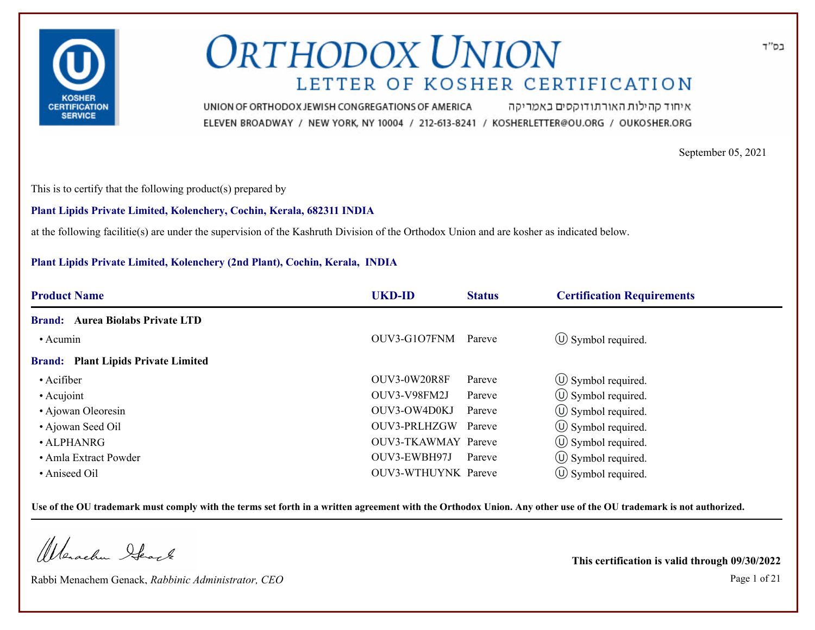

איחוד קהילות האורתודוקסים באמריקה UNION OF ORTHODOX JEWISH CONGREGATIONS OF AMERICA ELEVEN BROADWAY / NEW YORK, NY 10004 / 212-613-8241 / KOSHERLETTER@OU.ORG / OUKOSHER.ORG

September 05, 2021

This is to certify that the following product(s) prepared by

### **Plant Lipids Private Limited, Kolenchery, Cochin, Kerala, 682311 INDIA**

at the following facilitie(s) are under the supervision of the Kashruth Division of the Orthodox Union and are kosher as indicated below.

### **Plant Lipids Private Limited, Kolenchery (2nd Plant), Cochin, Kerala, INDIA**

| <b>UKD-ID</b> | <b>Status</b> | <b>Certification Requirements</b>                    |
|---------------|---------------|------------------------------------------------------|
|               |               |                                                      |
| OUV3-G1O7FNM  | Pareve        | $\circled{1}$ Symbol required.                       |
|               |               |                                                      |
| OUV3-0W20R8F  | Pareve        | $\circled{1}$ Symbol required.                       |
| OUV3-V98FM2J  | Pareve        | $\circled{1}$ Symbol required.                       |
| OUV3-OW4D0KJ  | Pareve        | $\circled{1}$ Symbol required.                       |
| OUV3-PRLHZGW  |               | $\circled{1}$ Symbol required.                       |
|               |               | $\circ$ Symbol required.                             |
| OUV3-EWBH97J  | Pareve        | $\circled{1}$ Symbol required.                       |
|               |               | $\circ$ Symbol required.                             |
|               |               | Pareve<br>OUV3-TKAWMAY Pareve<br>OUV3-WTHUYNK Pareve |

**Use of the OU trademark must comply with the terms set forth in a written agreement with the Orthodox Union. Any other use of the OU trademark is not authorized.**

Warachen Ifearle

Rabbi Menachem Genack, *Rabbinic Administrator, CEO* Page 1 of 21

**This certification is valid through 09/30/2022**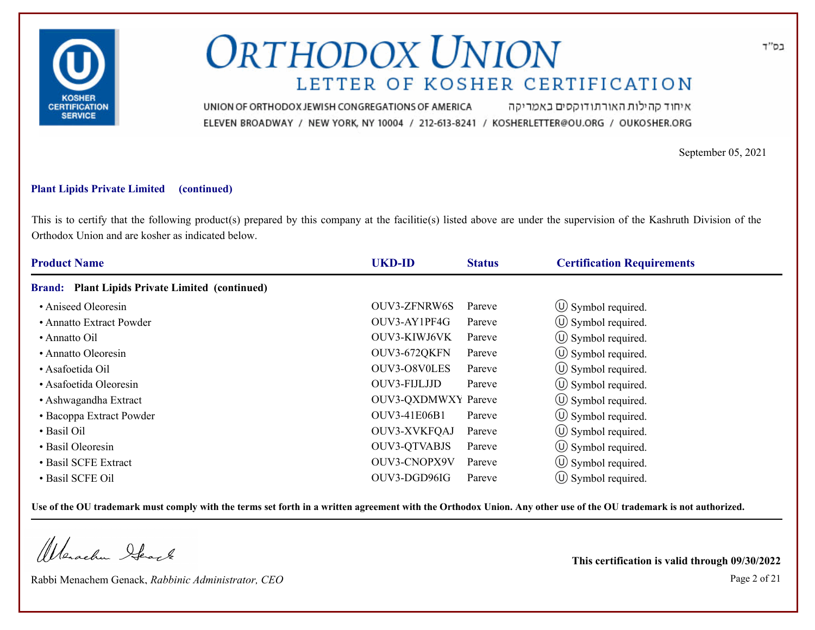

איחוד קהילות האורתודוקסים באמריקה UNION OF ORTHODOX JEWISH CONGREGATIONS OF AMERICA ELEVEN BROADWAY / NEW YORK, NY 10004 / 212-613-8241 / KOSHERLETTER@OU.ORG / OUKOSHER.ORG

September 05, 2021

### **Plant Lipids Private Limited (continued)**

This is to certify that the following product(s) prepared by this company at the facilitie(s) listed above are under the supervision of the Kashruth Division of the Orthodox Union and are kosher as indicated below.

| <b>Product Name</b>                                              | <b>UKD-ID</b><br><b>Status</b> | <b>Certification Requirements</b> |  |
|------------------------------------------------------------------|--------------------------------|-----------------------------------|--|
| <b>Plant Lipids Private Limited (continued)</b><br><b>Brand:</b> |                                |                                   |  |
| • Aniseed Oleoresin                                              | OUV3-ZFNRW6S<br>Pareve         | $\circ$ Symbol required.          |  |
| • Annatto Extract Powder                                         | OUV3-AY1PF4G<br>Pareve         | $\circ$ Symbol required.          |  |
| • Annatto Oil                                                    | OUV3-KIWJ6VK<br>Pareve         | $\circled{1}$ Symbol required.    |  |
| • Annatto Oleoresin                                              | OUV3-672QKFN<br>Pareve         | $\circ$ Symbol required.          |  |
| • Asafoetida Oil                                                 | OUV3-O8V0LES<br>Pareve         | $\circ$ Symbol required.          |  |
| • Asafoetida Oleoresin                                           | OUV3-FIJLJJD<br>Pareve         | $\circ$ Symbol required.          |  |
| • Ashwagandha Extract                                            | <b>OUV3-QXDMWXY Pareve</b>     | $\circ$ Symbol required.          |  |
| • Bacoppa Extract Powder                                         | <b>OUV3-41E06B1</b><br>Pareve  | (U) Symbol required.              |  |
| • Basil Oil                                                      | OUV3-XVKFQAJ<br>Pareve         | $\circ$ Symbol required.          |  |
| • Basil Oleoresin                                                | <b>OUV3-QTVABJS</b><br>Pareve  | $\circ$ Symbol required.          |  |
| • Basil SCFE Extract                                             | OUV3-CNOPX9V<br>Pareve         | $\circ$ Symbol required.          |  |
| · Basil SCFE Oil                                                 | OUV3-DGD96IG<br>Pareve         | $(\cup)$ Symbol required.         |  |

**Use of the OU trademark must comply with the terms set forth in a written agreement with the Orthodox Union. Any other use of the OU trademark is not authorized.**

Werachen Stack

Rabbi Menachem Genack, *Rabbinic Administrator, CEO* Page 2 of 21

**This certification is valid through 09/30/2022**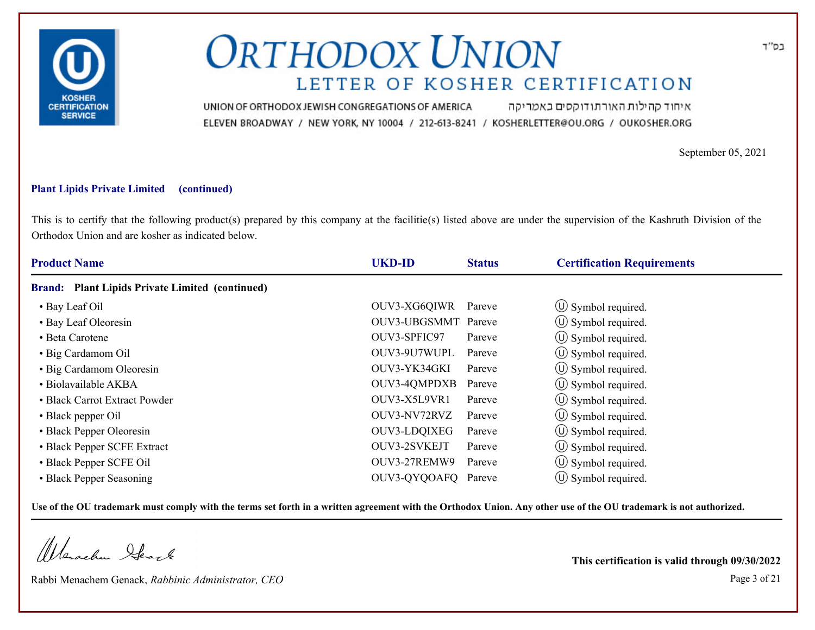

איחוד קהילות האורתודוקסים באמריקה UNION OF ORTHODOX JEWISH CONGREGATIONS OF AMERICA ELEVEN BROADWAY / NEW YORK, NY 10004 / 212-613-8241 / KOSHERLETTER@OU.ORG / OUKOSHER.ORG

September 05, 2021

### **Plant Lipids Private Limited (continued)**

This is to certify that the following product(s) prepared by this company at the facilitie(s) listed above are under the supervision of the Kashruth Division of the Orthodox Union and are kosher as indicated below.

| <b>Product Name</b>                             | <b>UKD-ID</b>       | <b>Status</b> | <b>Certification Requirements</b> |  |
|-------------------------------------------------|---------------------|---------------|-----------------------------------|--|
| Brand: Plant Lipids Private Limited (continued) |                     |               |                                   |  |
| • Bay Leaf Oil                                  | OUV3-XG6QIWR        | Pareve        | $\circ$ Symbol required.          |  |
| • Bay Leaf Oleoresin                            | OUV3-UBGSMMT Pareve |               | $\circ$ Symbol required.          |  |
| • Beta Carotene                                 | OUV3-SPFIC97        | Pareve        | $\circled{1}$ Symbol required.    |  |
| • Big Cardamom Oil                              | OUV3-9U7WUPL        | Pareve        | $\circled{1}$ Symbol required.    |  |
| • Big Cardamom Oleoresin                        | OUV3-YK34GKI        | Pareve        | $\circ$ Symbol required.          |  |
| · Biolavailable AKBA                            | <b>OUV3-4QMPDXB</b> | Pareve        | $\circ$ Symbol required.          |  |
| • Black Carrot Extract Powder                   | OUV3-X5L9VR1        | Pareve        | $\circ$ Symbol required.          |  |
| • Black pepper Oil                              | OUV3-NV72RVZ        | Pareve        | $\circ$ Symbol required.          |  |
| • Black Pepper Oleoresin                        | OUV3-LDQIXEG        | Pareve        | $\circ$ Symbol required.          |  |
| • Black Pepper SCFE Extract                     | OUV3-2SVKEJT        | Pareve        | $\circ$ Symbol required.          |  |
| • Black Pepper SCFE Oil                         | OUV3-27REMW9        | Pareve        | $\circ$ Symbol required.          |  |
| • Black Pepper Seasoning                        | OUV3-QYQOAFQ Pareve |               | $\circ$ Symbol required.          |  |

**Use of the OU trademark must comply with the terms set forth in a written agreement with the Orthodox Union. Any other use of the OU trademark is not authorized.**

Werachen Stack

Rabbi Menachem Genack, *Rabbinic Administrator, CEO* Page 3 of 21

**This certification is valid through 09/30/2022**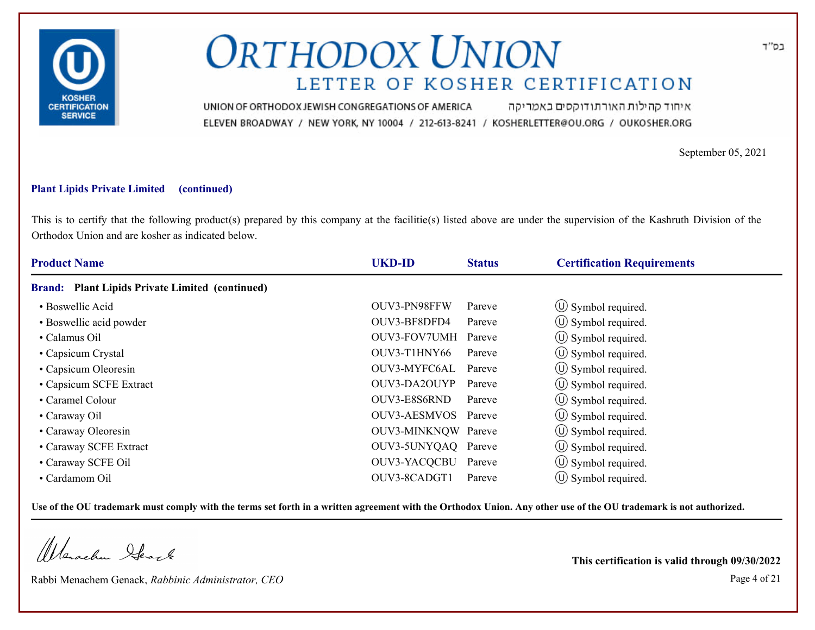

איחוד קהילות האורתודוקסים באמריקה UNION OF ORTHODOX JEWISH CONGREGATIONS OF AMERICA ELEVEN BROADWAY / NEW YORK, NY 10004 / 212-613-8241 / KOSHERLETTER@OU.ORG / OUKOSHER.ORG

September 05, 2021

### **Plant Lipids Private Limited (continued)**

This is to certify that the following product(s) prepared by this company at the facilitie(s) listed above are under the supervision of the Kashruth Division of the Orthodox Union and are kosher as indicated below.

| <b>Product Name</b>                             | <b>UKD-ID</b>       | <b>Status</b> | <b>Certification Requirements</b> |
|-------------------------------------------------|---------------------|---------------|-----------------------------------|
| Brand: Plant Lipids Private Limited (continued) |                     |               |                                   |
| • Boswellic Acid                                | OUV3-PN98FFW        | Pareve        | $\circ$ Symbol required.          |
| • Boswellic acid powder                         | OUV3-BF8DFD4        | Pareve        | $\circled{1}$ Symbol required.    |
| • Calamus Oil                                   | OUV3-FOV7UMH Pareve |               | $\circled{1}$ Symbol required.    |
| • Capsicum Crystal                              | OUV3-T1HNY66        | Pareve        | $\circ$ Symbol required.          |
| • Capsicum Oleoresin                            | OUV3-MYFC6AL        | Pareve        | $\circ$ Symbol required.          |
| • Capsicum SCFE Extract                         | OUV3-DA2OUYP        | Pareve        | $\circ$ Symbol required.          |
| • Caramel Colour                                | OUV3-E8S6RND        | Pareve        | $\circ$ Symbol required.          |
| • Caraway Oil                                   | OUV3-AESMVOS        | Pareve        | (U) Symbol required.              |
| • Caraway Oleoresin                             | OUV3-MINKNOW Pareve |               | $\circ$ Symbol required.          |
| • Caraway SCFE Extract                          | OUV3-5UNYQAQ Pareve |               | $\circ$ Symbol required.          |
| • Caraway SCFE Oil                              | OUV3-YACQCBU Pareve |               | $\circ$ Symbol required.          |
| • Cardamom Oil                                  | OUV3-8CADGT1        | Pareve        | $\circ$ Symbol required.          |

**Use of the OU trademark must comply with the terms set forth in a written agreement with the Orthodox Union. Any other use of the OU trademark is not authorized.**

Werachen Stack

Rabbi Menachem Genack, *Rabbinic Administrator, CEO* Page 4 of 21

**This certification is valid through 09/30/2022**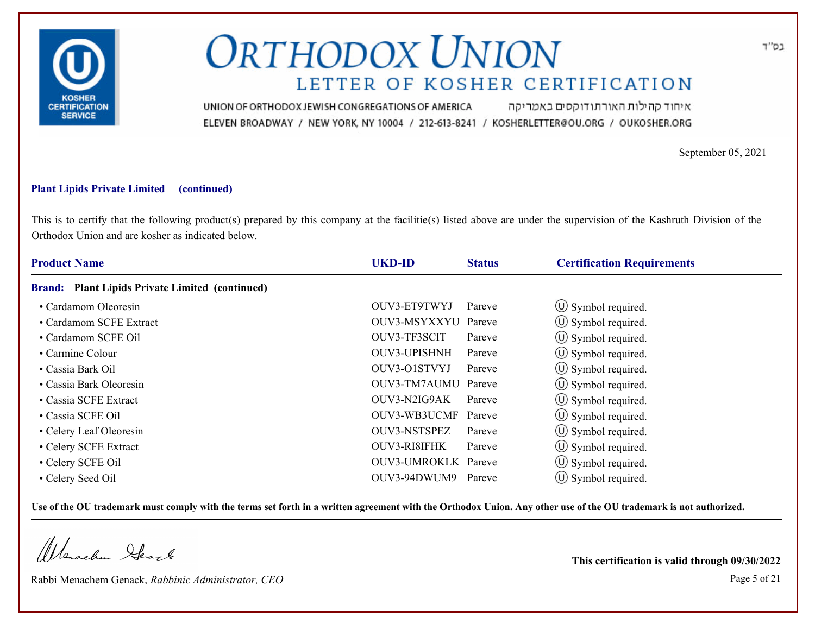

איחוד קהילות האורתודוקסים באמריקה UNION OF ORTHODOX JEWISH CONGREGATIONS OF AMERICA ELEVEN BROADWAY / NEW YORK, NY 10004 / 212-613-8241 / KOSHERLETTER@OU.ORG / OUKOSHER.ORG

September 05, 2021

### **Plant Lipids Private Limited (continued)**

This is to certify that the following product(s) prepared by this company at the facilitie(s) listed above are under the supervision of the Kashruth Division of the Orthodox Union and are kosher as indicated below.

| <b>Product Name</b>                                              | <b>UKD-ID</b>       | <b>Status</b> | <b>Certification Requirements</b> |
|------------------------------------------------------------------|---------------------|---------------|-----------------------------------|
| <b>Plant Lipids Private Limited (continued)</b><br><b>Brand:</b> |                     |               |                                   |
| • Cardamom Oleoresin                                             | OUV3-ET9TWYJ        | Pareve        | $\circled{1}$ Symbol required.    |
| • Cardamom SCFE Extract                                          | OUV3-MSYXXYU        | Pareve        | $\circ$ Symbol required.          |
| • Cardamom SCFE Oil                                              | OUV3-TF3SCIT        | Pareve        | $\circled{1}$ Symbol required.    |
| • Carmine Colour                                                 | OUV3-UPISHNH        | Pareve        | $\circ$ Symbol required.          |
| • Cassia Bark Oil                                                | OUV3-O1STVYJ        | Pareve        | $\circ$ Symbol required.          |
| • Cassia Bark Oleoresin                                          | OUV3-TM7AUMU        | Pareve        | (U) Symbol required.              |
| • Cassia SCFE Extract                                            | OUV3-N2IG9AK        | Pareve        | $\circ$ Symbol required.          |
| • Cassia SCFE Oil                                                | OUV3-WB3UCMF        | Pareve        | (U) Symbol required.              |
| • Celery Leaf Oleoresin                                          | <b>OUV3-NSTSPEZ</b> | Pareve        | $\circ$ Symbol required.          |
| • Celery SCFE Extract                                            | OUV3-RI8IFHK        | Pareve        | $\circ$ Symbol required.          |
| • Celery SCFE Oil                                                | OUV3-UMROKLK Pareve |               | $\circ$ Symbol required.          |
| • Celery Seed Oil                                                | OUV3-94DWUM9        | Pareve        | $(\cup)$ Symbol required.         |

**Use of the OU trademark must comply with the terms set forth in a written agreement with the Orthodox Union. Any other use of the OU trademark is not authorized.**

Werschn Stack

Rabbi Menachem Genack, *Rabbinic Administrator, CEO* Page 5 of 21

**This certification is valid through 09/30/2022**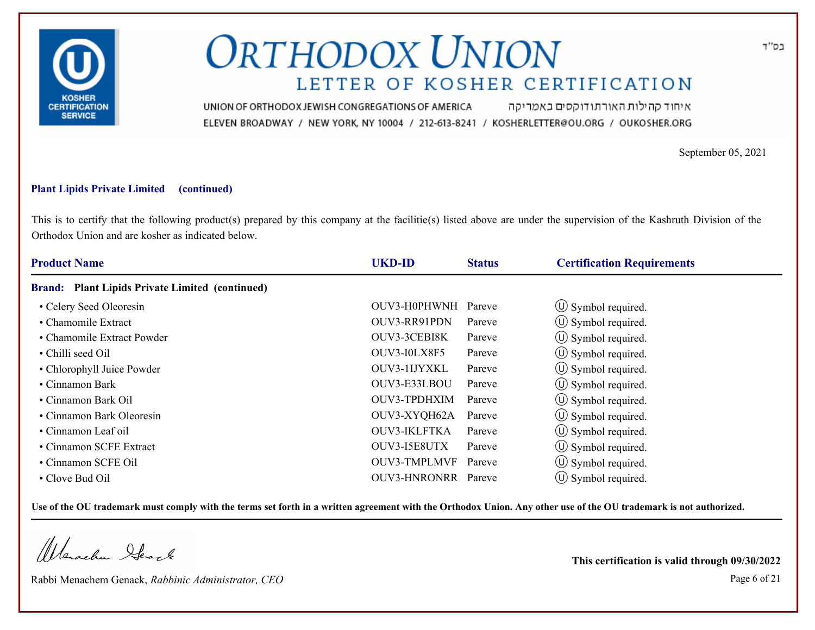

איחוד קהילות האורתודוקסים באמריקה UNION OF ORTHODOX JEWISH CONGREGATIONS OF AMERICA ELEVEN BROADWAY / NEW YORK, NY 10004 / 212-613-8241 / KOSHERLETTER@OU.ORG / OUKOSHER.ORG

September 05, 2021

### **Plant Lipids Private Limited (continued)**

This is to certify that the following product(s) prepared by this company at the facilitie(s) listed above are under the supervision of the Kashruth Division of the Orthodox Union and are kosher as indicated below.

| <b>Product Name</b>                             | <b>UKD-ID</b>              | <b>Status</b> | <b>Certification Requirements</b> |
|-------------------------------------------------|----------------------------|---------------|-----------------------------------|
| Brand: Plant Lipids Private Limited (continued) |                            |               |                                   |
| • Celery Seed Oleoresin                         | OUV3-H0PHWNH               | Pareve        | $\circ$ Symbol required.          |
| • Chamomile Extract                             | OUV3-RR91PDN               | Pareve        | $\circ$ Symbol required.          |
| • Chamomile Extract Powder                      | OUV3-3CEBI8K               | Pareve        | $\circled{1}$ Symbol required.    |
| • Chilli seed Oil                               | OUV3-I0LX8F5               | Pareve        | $\circ$ Symbol required.          |
| • Chlorophyll Juice Powder                      | OUV3-1IJYXKL               | Pareve        | $\circ$ Symbol required.          |
| • Cinnamon Bark                                 | OUV3-E33LBOU               | Pareve        | (U) Symbol required.              |
| • Cinnamon Bark Oil                             | OUV3-TPDHXIM               | Pareve        | $\circ$ Symbol required.          |
| • Cinnamon Bark Oleoresin                       | OUV3-XYQH62A               | Pareve        | (U) Symbol required.              |
| • Cinnamon Leaf oil                             | <b>OUV3-IKLFTKA</b>        | Pareve        | $\circ$ Symbol required.          |
| • Cinnamon SCFE Extract                         | OUV3-I5E8UTX               | Pareve        | $\circled{1}$ Symbol required.    |
| • Cinnamon SCFE Oil                             | <b>OUV3-TMPLMVF</b>        | Pareve        | $\circ$ Symbol required.          |
| • Clove Bud Oil                                 | <b>OUV3-HNRONRR</b> Pareve |               | $\circ$ Symbol required.          |

**Use of the OU trademark must comply with the terms set forth in a written agreement with the Orthodox Union. Any other use of the OU trademark is not authorized.**

Werachen Stack

Rabbi Menachem Genack, *Rabbinic Administrator, CEO* Page 6 of 21

**This certification is valid through 09/30/2022**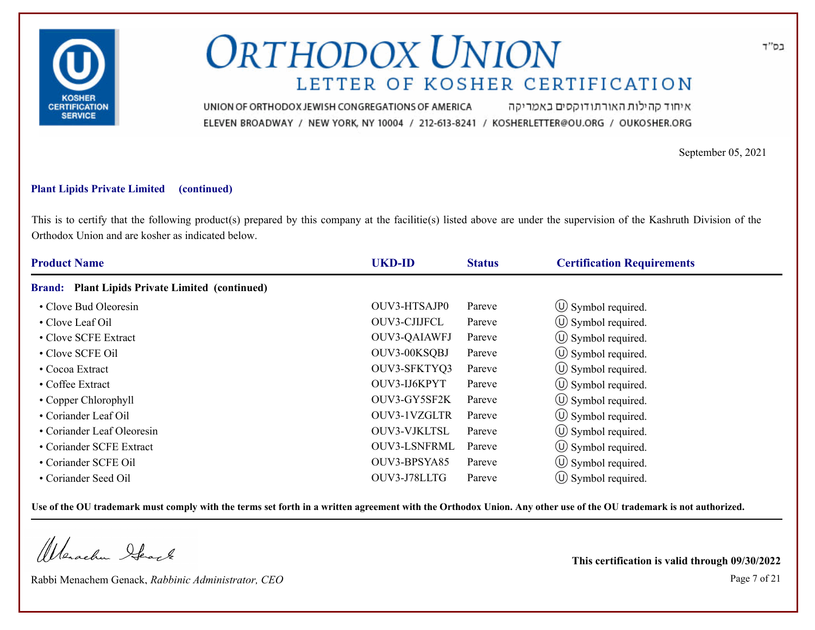

איחוד קהילות האורתודוקסים באמריקה UNION OF ORTHODOX JEWISH CONGREGATIONS OF AMERICA ELEVEN BROADWAY / NEW YORK, NY 10004 / 212-613-8241 / KOSHERLETTER@OU.ORG / OUKOSHER.ORG

September 05, 2021

### **Plant Lipids Private Limited (continued)**

This is to certify that the following product(s) prepared by this company at the facilitie(s) listed above are under the supervision of the Kashruth Division of the Orthodox Union and are kosher as indicated below.

| <b>Product Name</b>                             | <b>UKD-ID</b>       | <b>Status</b> | <b>Certification Requirements</b> |  |
|-------------------------------------------------|---------------------|---------------|-----------------------------------|--|
| Brand: Plant Lipids Private Limited (continued) |                     |               |                                   |  |
| • Clove Bud Oleoresin                           | OUV3-HTSAJP0        | Pareve        | $\circled{1}$ Symbol required.    |  |
| • Clove Leaf Oil                                | OUV3-CJIJFCL        | Pareve        | $\circ$ Symbol required.          |  |
| • Clove SCFE Extract                            | OUV3-QAIAWFJ        | Pareve        | $\circled{1}$ Symbol required.    |  |
| • Clove SCFE Oil                                | OUV3-00KSQBJ        | Pareve        | $\circ$ Symbol required.          |  |
| • Cocoa Extract                                 | OUV3-SFKTYQ3        | Pareve        | $\circ$ Symbol required.          |  |
| • Coffee Extract                                | OUV3-IJ6KPYT        | Pareve        | $\circ$ Symbol required.          |  |
| • Copper Chlorophyll                            | OUV3-GY5SF2K        | Pareve        | $\circ$ Symbol required.          |  |
| • Coriander Leaf Oil                            | OUV3-1VZGLTR        | Pareve        | $\circ$ Symbol required.          |  |
| • Coriander Leaf Oleoresin                      | OUV3-VJKLTSL        | Pareve        | $\circ$ Symbol required.          |  |
| • Coriander SCFE Extract                        | <b>OUV3-LSNFRML</b> | Pareve        | $\circ$ Symbol required.          |  |
| • Coriander SCFE Oil                            | OUV3-BPSYA85        | Pareve        | $\circ$ Symbol required.          |  |
| • Coriander Seed Oil                            | OUV3-J78LLTG        | Pareve        | $(\cup)$ Symbol required.         |  |

**Use of the OU trademark must comply with the terms set forth in a written agreement with the Orthodox Union. Any other use of the OU trademark is not authorized.**

Werachen Stack

Rabbi Menachem Genack, *Rabbinic Administrator, CEO* Page 7 of 21

**This certification is valid through 09/30/2022**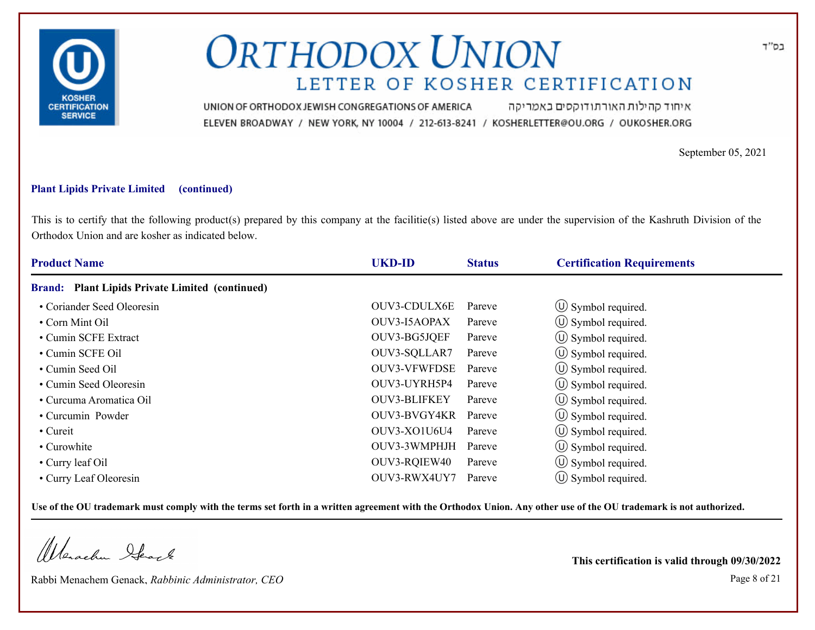

איחוד קהילות האורתודוקסים באמריקה UNION OF ORTHODOX JEWISH CONGREGATIONS OF AMERICA ELEVEN BROADWAY / NEW YORK, NY 10004 / 212-613-8241 / KOSHERLETTER@OU.ORG / OUKOSHER.ORG

September 05, 2021

### **Plant Lipids Private Limited (continued)**

This is to certify that the following product(s) prepared by this company at the facilitie(s) listed above are under the supervision of the Kashruth Division of the Orthodox Union and are kosher as indicated below.

| <b>Product Name</b>                             | <b>UKD-ID</b>       | <b>Status</b> | <b>Certification Requirements</b> |
|-------------------------------------------------|---------------------|---------------|-----------------------------------|
| Brand: Plant Lipids Private Limited (continued) |                     |               |                                   |
| • Coriander Seed Oleoresin                      | OUV3-CDULX6E        | Pareve        | $\circ$ Symbol required.          |
| • Corn Mint Oil                                 | OUV3-I5AOPAX        | Pareve        | $\circled{1}$ Symbol required.    |
| • Cumin SCFE Extract                            | OUV3-BG5JQEF        | Pareve        | $\circled{1}$ Symbol required.    |
| • Cumin SCFE Oil                                | OUV3-SQLLAR7        | Pareve        | $\circ$ Symbol required.          |
| • Cumin Seed Oil                                | <b>OUV3-VFWFDSE</b> | Pareve        | $\circ$ Symbol required.          |
| • Cumin Seed Oleoresin                          | OUV3-UYRH5P4        | Pareve        | (U) Symbol required.              |
| • Curcuma Aromatica Oil                         | <b>OUV3-BLIFKEY</b> | Pareve        | $\circ$ Symbol required.          |
| • Curcumin Powder                               | OUV3-BVGY4KR        | Pareve        | (U) Symbol required.              |
| • Cureit                                        | OUV3-XO1U6U4        | Pareve        | $\circ$ Symbol required.          |
| • Curowhite                                     | OUV3-3WMPHJH        | Pareve        | $\circ$ Symbol required.          |
| • Curry leaf Oil                                | OUV3-RQIEW40        | Pareve        | $\circ$ Symbol required.          |
| • Curry Leaf Oleoresin                          | OUV3-RWX4UY7        | Pareve        | $(\cup)$ Symbol required.         |

**Use of the OU trademark must comply with the terms set forth in a written agreement with the Orthodox Union. Any other use of the OU trademark is not authorized.**

Werschn Stack

Rabbi Menachem Genack, *Rabbinic Administrator, CEO* Page 8 of 21

**This certification is valid through 09/30/2022**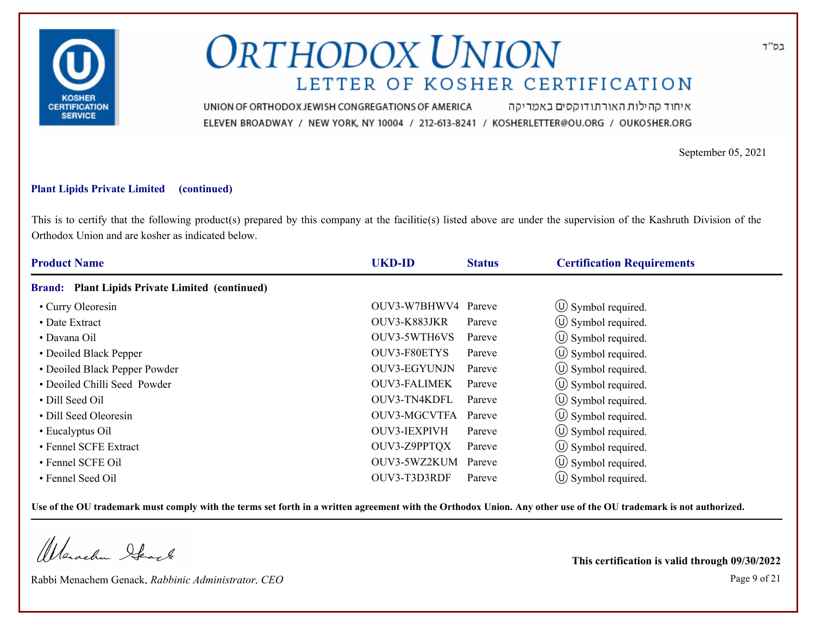

איחוד קהילות האורתודוקסים באמריקה UNION OF ORTHODOX JEWISH CONGREGATIONS OF AMERICA ELEVEN BROADWAY / NEW YORK, NY 10004 / 212-613-8241 / KOSHERLETTER@OU.ORG / OUKOSHER.ORG

September 05, 2021

### **Plant Lipids Private Limited (continued)**

This is to certify that the following product(s) prepared by this company at the facilitie(s) listed above are under the supervision of the Kashruth Division of the Orthodox Union and are kosher as indicated below.

| <b>Product Name</b>                                              | <b>UKD-ID</b>       | <b>Status</b> | <b>Certification Requirements</b> |  |
|------------------------------------------------------------------|---------------------|---------------|-----------------------------------|--|
| <b>Plant Lipids Private Limited (continued)</b><br><b>Brand:</b> |                     |               |                                   |  |
| • Curry Oleoresin                                                | OUV3-W7BHWV4 Pareve |               | $\circled{1}$ Symbol required.    |  |
| • Date Extract                                                   | OUV3-K883JKR        | Pareve        | $\circ$ Symbol required.          |  |
| • Davana Oil                                                     | OUV3-5WTH6VS        | Pareve        | $\circled{1}$ Symbol required.    |  |
| • Deoiled Black Pepper                                           | OUV3-F80ETYS        | Pareve        | $\circ$ Symbol required.          |  |
| • Deoiled Black Pepper Powder                                    | OUV3-EGYUNJN        | Pareve        | $\circ$ Symbol required.          |  |
| • Deoiled Chilli Seed Powder                                     | <b>OUV3-FALIMEK</b> | Pareve        | $\circ$ Symbol required.          |  |
| • Dill Seed Oil                                                  | OUV3-TN4KDFL        | Pareve        | $\circ$ Symbol required.          |  |
| • Dill Seed Oleoresin                                            | OUV3-MGCVTFA        | Pareve        | (U) Symbol required.              |  |
| • Eucalyptus Oil                                                 | <b>OUV3-IEXPIVH</b> | Pareve        | $\circ$ Symbol required.          |  |
| • Fennel SCFE Extract                                            | OUV3-Z9PPTQX        | Pareve        | $\circ$ Symbol required.          |  |
| • Fennel SCFE Oil                                                | OUV3-5WZ2KUM        | Pareve        | $\circ$ Symbol required.          |  |
| • Fennel Seed Oil                                                | OUV3-T3D3RDF        | Pareve        | $(\cup)$ Symbol required.         |  |

**Use of the OU trademark must comply with the terms set forth in a written agreement with the Orthodox Union. Any other use of the OU trademark is not authorized.**

Werachen Stack

Rabbi Menachem Genack, *Rabbinic Administrator, CEO* Page 9 of 21

**This certification is valid through 09/30/2022**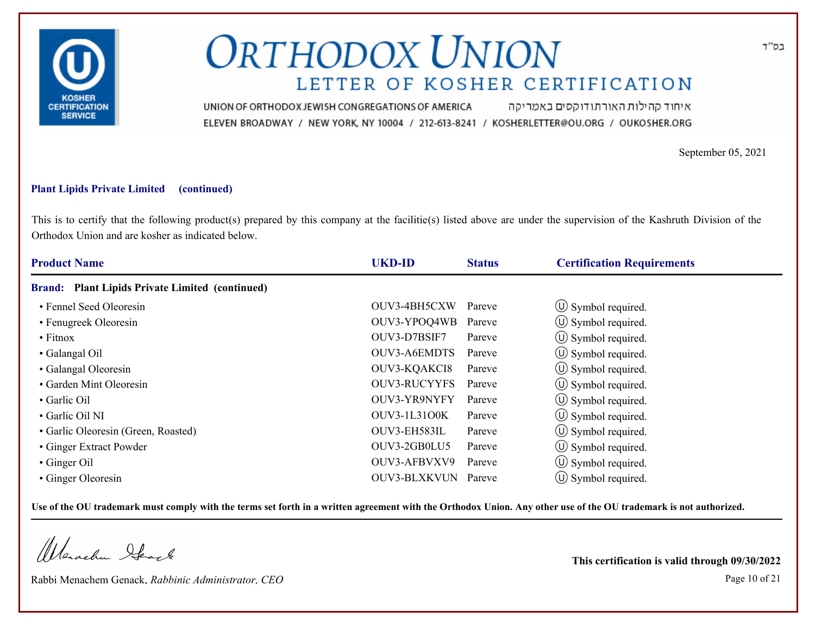

איחוד קהילות האורתודוקסים באמריקה UNION OF ORTHODOX JEWISH CONGREGATIONS OF AMERICA ELEVEN BROADWAY / NEW YORK, NY 10004 / 212-613-8241 / KOSHERLETTER@OU.ORG / OUKOSHER.ORG

September 05, 2021

### **Plant Lipids Private Limited (continued)**

This is to certify that the following product(s) prepared by this company at the facilitie(s) listed above are under the supervision of the Kashruth Division of the Orthodox Union and are kosher as indicated below.

| <b>Product Name</b>                                              | <b>UKD-ID</b>       | <b>Status</b> | <b>Certification Requirements</b> |  |
|------------------------------------------------------------------|---------------------|---------------|-----------------------------------|--|
| <b>Plant Lipids Private Limited (continued)</b><br><b>Brand:</b> |                     |               |                                   |  |
| • Fennel Seed Oleoresin                                          | OUV3-4BH5CXW        | Pareve        | $\circ$ Symbol required.          |  |
| • Fenugreek Oleoresin                                            | OUV3-YPOQ4WB        | Pareve        | $\circ$ Symbol required.          |  |
| $\bullet$ Fitnox                                                 | OUV3-D7BSIF7        | Pareve        | $\circled{1}$ Symbol required.    |  |
| • Galangal Oil                                                   | OUV3-A6EMDTS        | Pareve        | $\circ$ Symbol required.          |  |
| • Galangal Oleoresin                                             | OUV3-KQAKCI8        | Pareve        | $\circ$ Symbol required.          |  |
| • Garden Mint Oleoresin                                          | <b>OUV3-RUCYYFS</b> | Pareve        | $\circ$ Symbol required.          |  |
| • Garlic Oil                                                     | OUV3-YR9NYFY        | Pareve        | $\circ$ Symbol required.          |  |
| · Garlic Oil NI                                                  | <b>OUV3-1L3100K</b> | Pareve        | $\circ$ Symbol required.          |  |
| • Garlic Oleoresin (Green, Roasted)                              | OUV3-EH583IL        | Pareve        | $\circ$ Symbol required.          |  |
| • Ginger Extract Powder                                          | OUV3-2GB0LU5        | Pareve        | $\circ$ Symbol required.          |  |
| • Ginger Oil                                                     | OUV3-AFBVXV9        | Pareve        | $\circ$ Symbol required.          |  |
| • Ginger Oleoresin                                               | OUV3-BLXKVUN Pareve |               | $\circ$ Symbol required.          |  |

**Use of the OU trademark must comply with the terms set forth in a written agreement with the Orthodox Union. Any other use of the OU trademark is not authorized.**

Werschn Stack

Rabbi Menachem Genack, *Rabbinic Administrator, CEO* Page 10 of 21

**This certification is valid through 09/30/2022**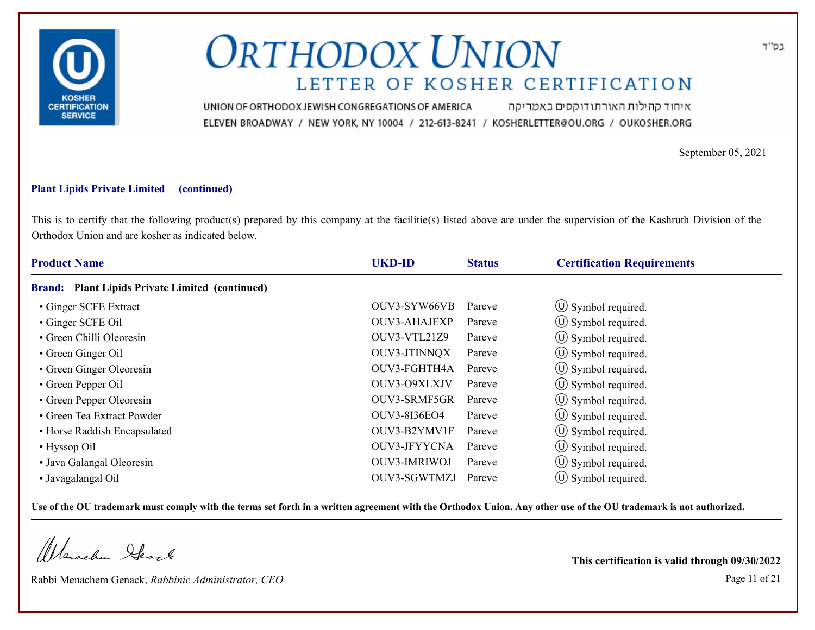

איחוד קהילות האורתודוקסים באמריקה UNION OF ORTHODOX JEWISH CONGREGATIONS OF AMERICA ELEVEN BROADWAY / NEW YORK, NY 10004 / 212-613-8241 / KOSHERLETTER@OU.ORG / OUKOSHER.ORG

September 05, 2021

### **Plant Lipids Private Limited (continued)**

This is to certify that the following product(s) prepared by this company at the facilitie(s) listed above are under the supervision of the Kashruth Division of the Orthodox Union and are kosher as indicated below.

| <b>Product Name</b>                                              | <b>UKD-ID</b>       | <b>Status</b> | <b>Certification Requirements</b> |  |
|------------------------------------------------------------------|---------------------|---------------|-----------------------------------|--|
| <b>Plant Lipids Private Limited (continued)</b><br><b>Brand:</b> |                     |               |                                   |  |
| • Ginger SCFE Extract                                            | OUV3-SYW66VB        | Pareve        | $\circled{1}$ Symbol required.    |  |
| • Ginger SCFE Oil                                                | OUV3-AHAJEXP        | Pareve        | $\circ$ Symbol required.          |  |
| • Green Chilli Oleoresin                                         | OUV3-VTL21Z9        | Pareve        | $\circ$ Symbol required.          |  |
| • Green Ginger Oil                                               | OUV3-JTINNQX        | Pareve        | $\circ$ Symbol required.          |  |
| • Green Ginger Oleoresin                                         | OUV3-FGHTH4A        | Pareve        | $\circ$ Symbol required.          |  |
| • Green Pepper Oil                                               | OUV3-O9XLXJV        | Pareve        | $\circ$ Symbol required.          |  |
| • Green Pepper Oleoresin                                         | OUV3-SRMF5GR        | Pareve        | $\circ$ Symbol required.          |  |
| • Green Tea Extract Powder                                       | OUV3-8136EO4        | Pareve        | (U) Symbol required.              |  |
| • Horse Raddish Encapsulated                                     | OUV3-B2YMV1F        | Pareve        | $\circ$ Symbol required.          |  |
| • Hyssop Oil                                                     | OUV3-JFYYCNA        | Pareve        | $\circ$ Symbol required.          |  |
| • Java Galangal Oleoresin                                        | <b>OUV3-IMRIWOJ</b> | Pareve        | $\circ$ Symbol required.          |  |
| • Javagalangal Oil                                               | OUV3-SGWTMZJ        | Pareve        | $\circ$ Symbol required.          |  |

**Use of the OU trademark must comply with the terms set forth in a written agreement with the Orthodox Union. Any other use of the OU trademark is not authorized.**

Werachen Stack

Rabbi Menachem Genack, *Rabbinic Administrator, CEO* Page 11 of 21

**This certification is valid through 09/30/2022**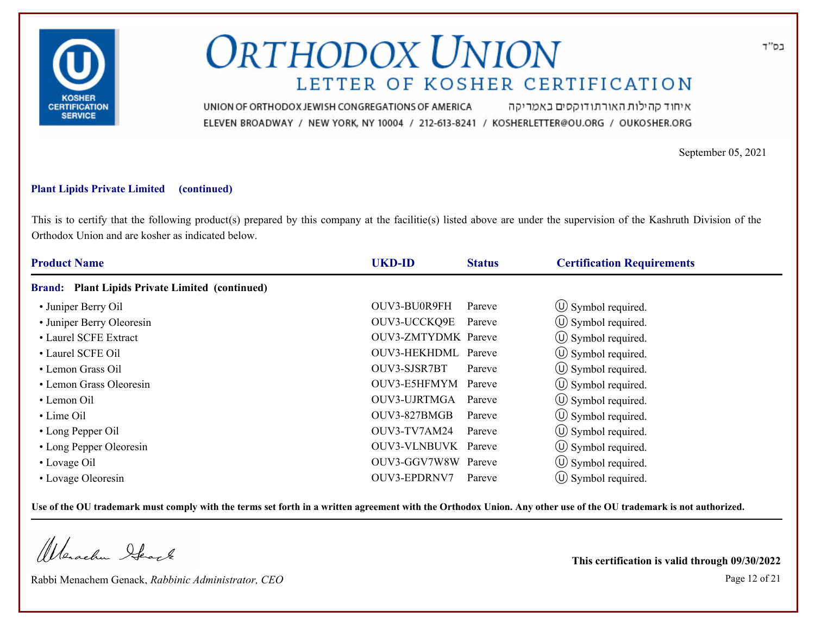

איחוד קהילות האורתודוקסים באמריקה UNION OF ORTHODOX JEWISH CONGREGATIONS OF AMERICA ELEVEN BROADWAY / NEW YORK, NY 10004 / 212-613-8241 / KOSHERLETTER@OU.ORG / OUKOSHER.ORG

September 05, 2021

### **Plant Lipids Private Limited (continued)**

This is to certify that the following product(s) prepared by this company at the facilitie(s) listed above are under the supervision of the Kashruth Division of the Orthodox Union and are kosher as indicated below.

| <b>Product Name</b>                             | <b>UKD-ID</b>              | <b>Status</b> | <b>Certification Requirements</b> |
|-------------------------------------------------|----------------------------|---------------|-----------------------------------|
| Brand: Plant Lipids Private Limited (continued) |                            |               |                                   |
| • Juniper Berry Oil                             | OUV3-BU0R9FH               | Pareve        | $\circled{1}$ Symbol required.    |
| • Juniper Berry Oleoresin                       | OUV3-UCCKQ9E               | Pareve        | $\circled{1}$ Symbol required.    |
| • Laurel SCFE Extract                           | <b>OUV3-ZMTYDMK</b> Pareve |               | $\circled{1}$ Symbol required.    |
| • Laurel SCFE Oil                               | OUV3-HEKHDML Pareve        |               | $\circ$ Symbol required.          |
| • Lemon Grass Oil                               | OUV3-SJSR7BT               | Pareve        | $\circ$ Symbol required.          |
| • Lemon Grass Oleoresin                         | OUV3-E5HFMYM Pareve        |               | (U) Symbol required.              |
| $\cdot$ Lemon Oil                               | OUV3-UJRTMGA               | Pareve        | $\circ$ Symbol required.          |
| • Lime Oil                                      | OUV3-827BMGB               | Pareve        | (U) Symbol required.              |
| • Long Pepper Oil                               | OUV3-TV7AM24               | Pareve        | $\circ$ Symbol required.          |
| • Long Pepper Oleoresin                         | OUV3-VLNBUVK Pareve        |               | (U) Symbol required.              |
| • Lovage Oil                                    | OUV3-GGV7W8W Pareve        |               | $\circ$ Symbol required.          |
| • Lovage Oleoresin                              | OUV3-EPDRNV7               | Pareve        | $(\cup)$ Symbol required.         |

**Use of the OU trademark must comply with the terms set forth in a written agreement with the Orthodox Union. Any other use of the OU trademark is not authorized.**

Werachen Stack

Rabbi Menachem Genack, *Rabbinic Administrator, CEO* Page 12 of 21

**This certification is valid through 09/30/2022**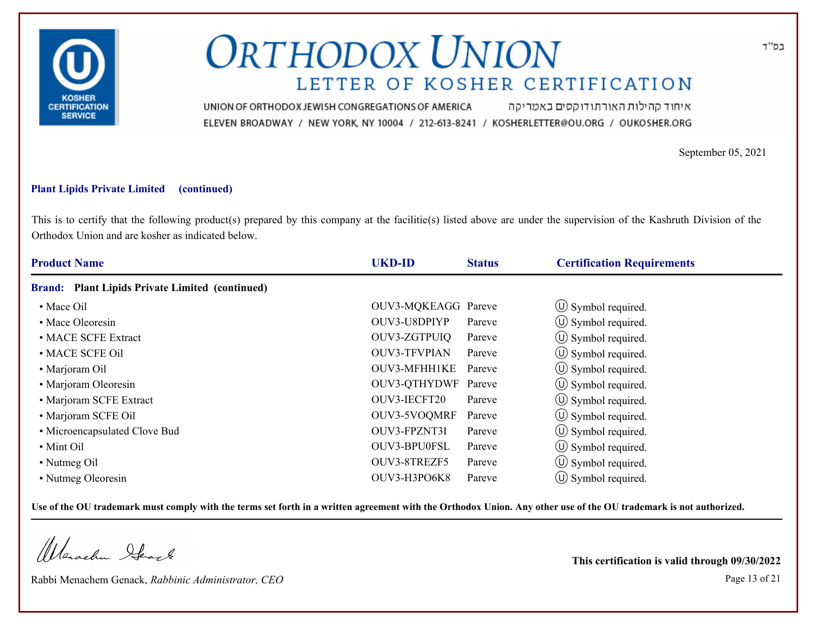

איחוד קהילות האורתודוקסים באמריקה UNION OF ORTHODOX JEWISH CONGREGATIONS OF AMERICA ELEVEN BROADWAY / NEW YORK, NY 10004 / 212-613-8241 / KOSHERLETTER@OU.ORG / OUKOSHER.ORG

September 05, 2021

### **Plant Lipids Private Limited (continued)**

This is to certify that the following product(s) prepared by this company at the facilitie(s) listed above are under the supervision of the Kashruth Division of the Orthodox Union and are kosher as indicated below.

| <b>Product Name</b>                                    | <b>UKD-ID</b>       | <b>Status</b> | <b>Certification Requirements</b> |  |
|--------------------------------------------------------|---------------------|---------------|-----------------------------------|--|
| <b>Brand:</b> Plant Lipids Private Limited (continued) |                     |               |                                   |  |
| • Mace Oil                                             | OUV3-MQKEAGG Pareve |               | (U) Symbol required.              |  |
| • Mace Oleoresin                                       | OUV3-U8DPIYP        | Pareve        | $\circled{1}$ Symbol required.    |  |
| • MACE SCFE Extract                                    | OUV3-ZGTPUIQ        | Pareve        | (U) Symbol required.              |  |
| • MACE SCFE Oil                                        | <b>OUV3-TFVPIAN</b> | Pareve        | $\circ$ Symbol required.          |  |
| • Marjoram Oil                                         | OUV3-MFHH1KE        | Pareve        | $\circ$ Symbol required.          |  |
| • Marjoram Oleoresin                                   | OUV3-QTHYDWF Pareve |               | $\circ$ Symbol required.          |  |
| • Marjoram SCFE Extract                                | OUV3-IECFT20        | Pareve        | $\circ$ Symbol required.          |  |
| • Marjoram SCFE Oil                                    | OUV3-5VOQMRF        | Pareve        | (U) Symbol required.              |  |
| • Microencapsulated Clove Bud                          | OUV3-FPZNT3I        | Pareve        | $\circ$ Symbol required.          |  |
| • Mint Oil                                             | OUV3-BPU0FSL        | Pareve        | $\circ$ Symbol required.          |  |
| • Nutmeg Oil                                           | OUV3-8TREZF5        | Pareve        | $\circ$ Symbol required.          |  |
| • Nutmeg Oleoresin                                     | OUV3-H3PO6K8        | Pareve        | $\circ$ Symbol required.          |  |

**Use of the OU trademark must comply with the terms set forth in a written agreement with the Orthodox Union. Any other use of the OU trademark is not authorized.**

Werachen Stack

Rabbi Menachem Genack, *Rabbinic Administrator, CEO* Page 13 of 21

**This certification is valid through 09/30/2022**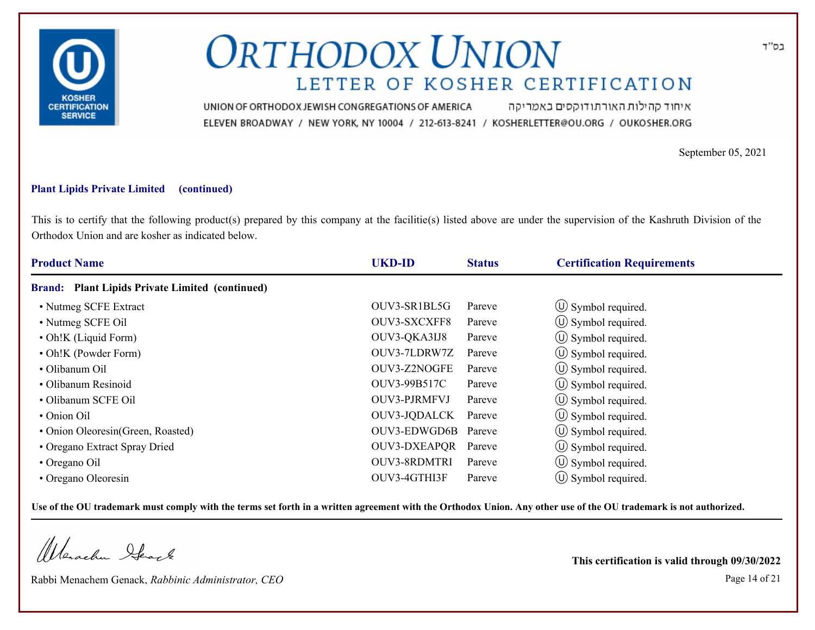

איחוד קהילות האורתודוקסים באמריקה UNION OF ORTHODOX JEWISH CONGREGATIONS OF AMERICA ELEVEN BROADWAY / NEW YORK, NY 10004 / 212-613-8241 / KOSHERLETTER@OU.ORG / OUKOSHER.ORG

September 05, 2021

### **Plant Lipids Private Limited (continued)**

This is to certify that the following product(s) prepared by this company at the facilitie(s) listed above are under the supervision of the Kashruth Division of the Orthodox Union and are kosher as indicated below.

| <b>Product Name</b>                                              | <b>UKD-ID</b>       | <b>Status</b> | <b>Certification Requirements</b> |  |
|------------------------------------------------------------------|---------------------|---------------|-----------------------------------|--|
| <b>Plant Lipids Private Limited (continued)</b><br><b>Brand:</b> |                     |               |                                   |  |
| • Nutmeg SCFE Extract                                            | OUV3-SR1BL5G        | Pareve        | $\circled{1}$ Symbol required.    |  |
| • Nutmeg SCFE Oil                                                | OUV3-SXCXFF8        | Pareve        | $\circ$ Symbol required.          |  |
| • Oh!K (Liquid Form)                                             | OUV3-QKA3IJ8        | Pareve        | $\circ$ Symbol required.          |  |
| • Oh!K (Powder Form)                                             | OUV3-7LDRW7Z        | Pareve        | $\circ$ Symbol required.          |  |
| · Olibanum Oil                                                   | OUV3-Z2NOGFE        | Pareve        | $\circ$ Symbol required.          |  |
| • Olibanum Resinoid                                              | OUV3-99B517C        | Pareve        | $\circ$ Symbol required.          |  |
| · Olibanum SCFE Oil                                              | <b>OUV3-PJRMFVJ</b> | Pareve        | $\circ$ Symbol required.          |  |
| • Onion Oil                                                      | OUV3-JQDALCK        | Pareve        | (U) Symbol required.              |  |
| • Onion Oleoresin(Green, Roasted)                                | OUV3-EDWGD6B Pareve |               | $\circ$ Symbol required.          |  |
| • Oregano Extract Spray Dried                                    | <b>OUV3-DXEAPOR</b> | Pareve        | $\circ$ Symbol required.          |  |
| • Oregano Oil                                                    | <b>OUV3-8RDMTRI</b> | Pareve        | $\circ$ Symbol required.          |  |
| • Oregano Oleoresin                                              | OUV3-4GTHI3F        | Pareve        | $(\cup)$ Symbol required.         |  |

**Use of the OU trademark must comply with the terms set forth in a written agreement with the Orthodox Union. Any other use of the OU trademark is not authorized.**

Werschn Stack

Rabbi Menachem Genack, *Rabbinic Administrator, CEO* Page 14 of 21

**This certification is valid through 09/30/2022**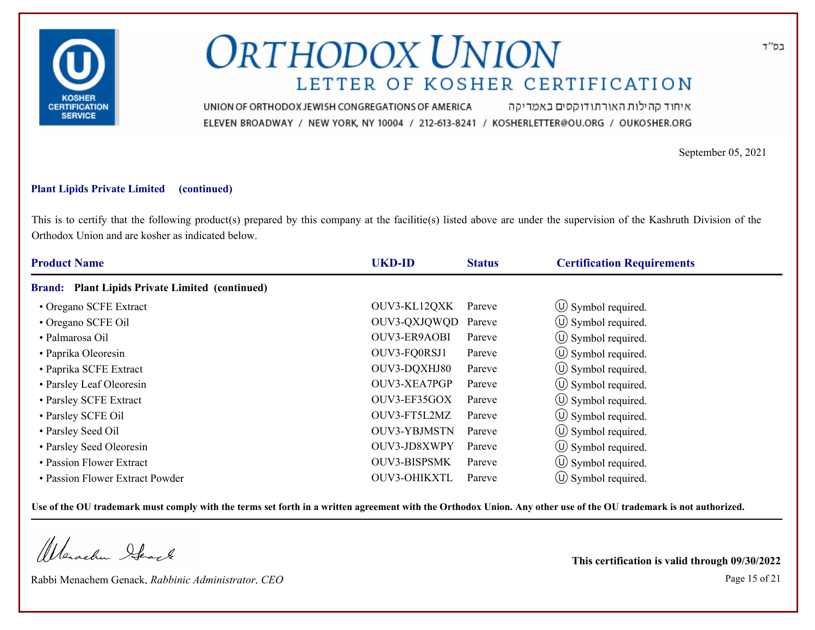

איחוד קהילות האורתודוקסים באמריקה UNION OF ORTHODOX JEWISH CONGREGATIONS OF AMERICA ELEVEN BROADWAY / NEW YORK, NY 10004 / 212-613-8241 / KOSHERLETTER@OU.ORG / OUKOSHER.ORG

September 05, 2021

### **Plant Lipids Private Limited (continued)**

This is to certify that the following product(s) prepared by this company at the facilitie(s) listed above are under the supervision of the Kashruth Division of the Orthodox Union and are kosher as indicated below.

| <b>Product Name</b>                                              | <b>UKD-ID</b>       | <b>Status</b> | <b>Certification Requirements</b> |  |
|------------------------------------------------------------------|---------------------|---------------|-----------------------------------|--|
| <b>Plant Lipids Private Limited (continued)</b><br><b>Brand:</b> |                     |               |                                   |  |
| • Oregano SCFE Extract                                           | OUV3-KL12QXK        | Pareve        | $\circ$ Symbol required.          |  |
| • Oregano SCFE Oil                                               | OUV3-QXJQWQD Pareve |               | $\circ$ Symbol required.          |  |
| • Palmarosa Oil                                                  | OUV3-ER9AOBI        | Pareve        | $\circ$ Symbol required.          |  |
| • Paprika Oleoresin                                              | OUV3-FQ0RSJ1        | Pareve        | $\circ$ Symbol required.          |  |
| • Paprika SCFE Extract                                           | OUV3-DQXHJ80        | Pareve        | $\circ$ Symbol required.          |  |
| • Parsley Leaf Oleoresin                                         | OUV3-XEA7PGP        | Pareve        | $\circled{1}$ Symbol required.    |  |
| • Parsley SCFE Extract                                           | OUV3-EF35GOX        | Pareve        | $\circ$ Symbol required.          |  |
| • Parsley SCFE Oil                                               | OUV3-FT5L2MZ        | Pareve        | (U) Symbol required.              |  |
| • Parsley Seed Oil                                               | <b>OUV3-YBJMSTN</b> | Pareve        | $\circ$ Symbol required.          |  |
| • Parsley Seed Oleoresin                                         | OUV3-JD8XWPY        | Pareve        | $\circ$ Symbol required.          |  |
| • Passion Flower Extract                                         | <b>OUV3-BISPSMK</b> | Pareve        | $\circ$ Symbol required.          |  |
| • Passion Flower Extract Powder                                  | <b>OUV3-OHIKXTL</b> | Pareve        | $\circ$ Symbol required.          |  |

**Use of the OU trademark must comply with the terms set forth in a written agreement with the Orthodox Union. Any other use of the OU trademark is not authorized.**

Werachen Stack

Rabbi Menachem Genack, *Rabbinic Administrator, CEO* Page 15 of 21

**This certification is valid through 09/30/2022**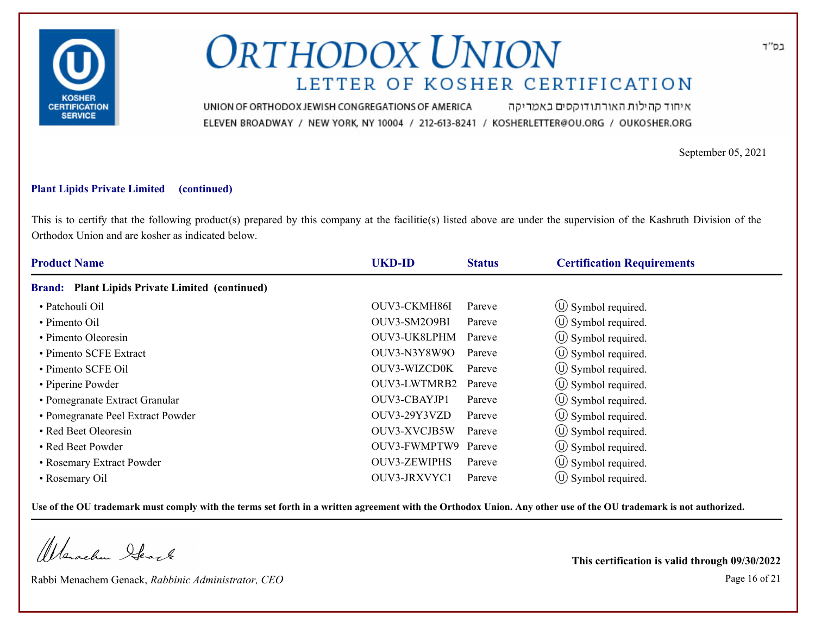

איחוד קהילות האורתודוקסים באמריקה UNION OF ORTHODOX JEWISH CONGREGATIONS OF AMERICA ELEVEN BROADWAY / NEW YORK, NY 10004 / 212-613-8241 / KOSHERLETTER@OU.ORG / OUKOSHER.ORG

September 05, 2021

### **Plant Lipids Private Limited (continued)**

This is to certify that the following product(s) prepared by this company at the facilitie(s) listed above are under the supervision of the Kashruth Division of the Orthodox Union and are kosher as indicated below.

| <b>Product Name</b>                             | <b>UKD-ID</b>       | <b>Status</b> | <b>Certification Requirements</b> |  |
|-------------------------------------------------|---------------------|---------------|-----------------------------------|--|
| Brand: Plant Lipids Private Limited (continued) |                     |               |                                   |  |
| • Patchouli Oil                                 | OUV3-CKMH86I        | Pareve        | $\circ$ Symbol required.          |  |
| • Pimento Oil                                   | OUV3-SM2O9BI        | Pareve        | $\circ$ Symbol required.          |  |
| • Pimento Oleoresin                             | OUV3-UK8LPHM        | Pareve        | $\circled{1}$ Symbol required.    |  |
| • Pimento SCFE Extract                          | OUV3-N3Y8W9O        | Pareve        | $\circ$ Symbol required.          |  |
| • Pimento SCFE Oil                              | OUV3-WIZCD0K        | Pareve        | $\circ$ Symbol required.          |  |
| • Piperine Powder                               | OUV3-LWTMRB2        | Pareve        | $\circ$ Symbol required.          |  |
| • Pomegranate Extract Granular                  | OUV3-CBAYJP1        | Pareve        | $\circ$ Symbol required.          |  |
| • Pomegranate Peel Extract Powder               | OUV3-29Y3VZD        | Pareve        | (U) Symbol required.              |  |
| • Red Beet Oleoresin                            | OUV3-XVCJB5W        | Pareve        | $\circled{1}$ Symbol required.    |  |
| • Red Beet Powder                               | OUV3-FWMPTW9        | Pareve        | $\circ$ Symbol required.          |  |
| • Rosemary Extract Powder                       | <b>OUV3-ZEWIPHS</b> | Pareve        | $\circled{1}$ Symbol required.    |  |
| • Rosemary Oil                                  | OUV3-JRXVYC1        | Pareve        | $\circ$ Symbol required.          |  |

**Use of the OU trademark must comply with the terms set forth in a written agreement with the Orthodox Union. Any other use of the OU trademark is not authorized.**

Werschn Stack

Rabbi Menachem Genack, *Rabbinic Administrator, CEO* Page 16 of 21

**This certification is valid through 09/30/2022**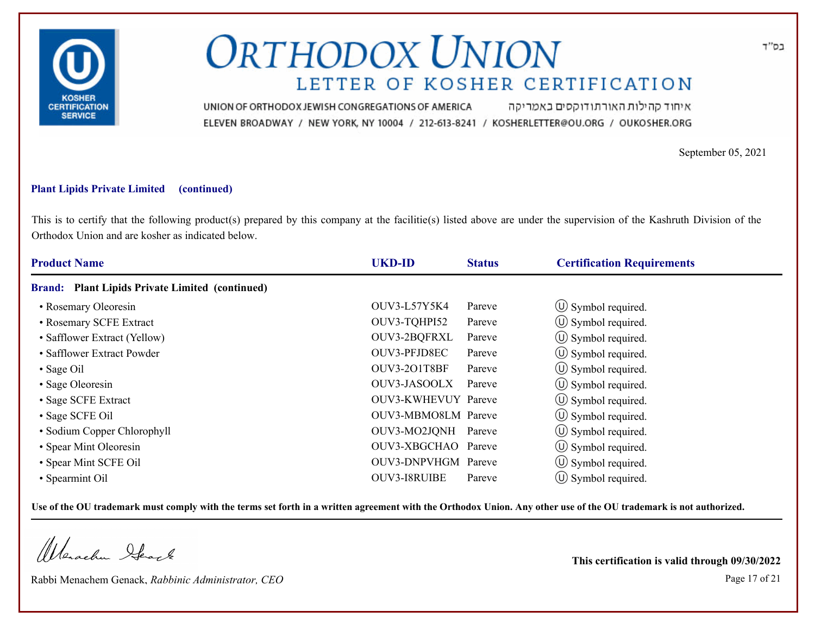

איחוד קהילות האורתודוקסים באמריקה UNION OF ORTHODOX JEWISH CONGREGATIONS OF AMERICA ELEVEN BROADWAY / NEW YORK, NY 10004 / 212-613-8241 / KOSHERLETTER@OU.ORG / OUKOSHER.ORG

September 05, 2021

### **Plant Lipids Private Limited (continued)**

This is to certify that the following product(s) prepared by this company at the facilitie(s) listed above are under the supervision of the Kashruth Division of the Orthodox Union and are kosher as indicated below.

| <b>Product Name</b>                             | <b>UKD-ID</b>       | <b>Status</b> | <b>Certification Requirements</b> |  |
|-------------------------------------------------|---------------------|---------------|-----------------------------------|--|
| Brand: Plant Lipids Private Limited (continued) |                     |               |                                   |  |
| • Rosemary Oleoresin                            | OUV3-L57Y5K4        | Pareve        | $\circ$ Symbol required.          |  |
| • Rosemary SCFE Extract                         | OUV3-TQHPI52        | Pareve        | $\circ$ Symbol required.          |  |
| • Safflower Extract (Yellow)                    | OUV3-2BQFRXL        | Pareve        | $\circled{1}$ Symbol required.    |  |
| • Safflower Extract Powder                      | OUV3-PFJD8EC        | Pareve        | $\circ$ Symbol required.          |  |
| • Sage Oil                                      | OUV3-201T8BF        | Pareve        | $\circ$ Symbol required.          |  |
| • Sage Oleoresin                                | OUV3-JASOOLX        | Pareve        | $\circ$ Symbol required.          |  |
| • Sage SCFE Extract                             | OUV3-KWHEVUY Pareve |               | $\circ$ Symbol required.          |  |
| • Sage SCFE Oil                                 | OUV3-MBMO8LM Pareve |               | (U) Symbol required.              |  |
| • Sodium Copper Chlorophyll                     | OUV3-MO2JQNH Pareve |               | $\circ$ Symbol required.          |  |
| • Spear Mint Oleoresin                          | OUV3-XBGCHAO Pareve |               | $\circ$ Symbol required.          |  |
| • Spear Mint SCFE Oil                           | OUV3-DNPVHGM Pareve |               | $\circled{1}$ Symbol required.    |  |
| • Spearmint Oil                                 | <b>OUV3-I8RUIBE</b> | Pareve        | $\circ$ Symbol required.          |  |

**Use of the OU trademark must comply with the terms set forth in a written agreement with the Orthodox Union. Any other use of the OU trademark is not authorized.**

Werschn Stack

Rabbi Menachem Genack, *Rabbinic Administrator, CEO* Page 17 of 21

**This certification is valid through 09/30/2022**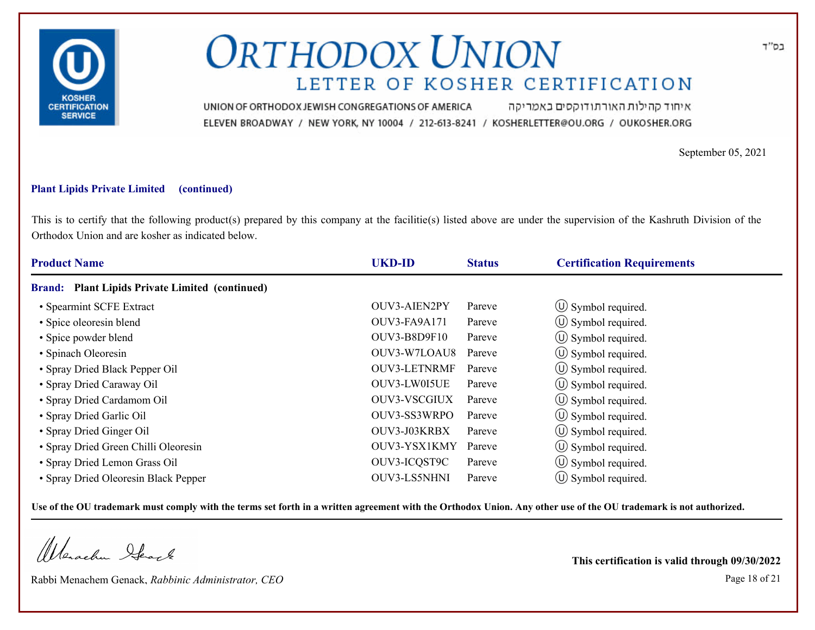

איחוד קהילות האורתודוקסים באמריקה UNION OF ORTHODOX JEWISH CONGREGATIONS OF AMERICA ELEVEN BROADWAY / NEW YORK, NY 10004 / 212-613-8241 / KOSHERLETTER@OU.ORG / OUKOSHER.ORG

September 05, 2021

### **Plant Lipids Private Limited (continued)**

This is to certify that the following product(s) prepared by this company at the facilitie(s) listed above are under the supervision of the Kashruth Division of the Orthodox Union and are kosher as indicated below.

| <b>Product Name</b>                             | <b>UKD-ID</b>       | <b>Status</b> | <b>Certification Requirements</b> |  |
|-------------------------------------------------|---------------------|---------------|-----------------------------------|--|
| Brand: Plant Lipids Private Limited (continued) |                     |               |                                   |  |
| • Spearmint SCFE Extract                        | OUV3-AIEN2PY        | Pareve        | $\circled{1}$ Symbol required.    |  |
| · Spice oleoresin blend                         | OUV3-FA9A171        | Pareve        | $\circled{1}$ Symbol required.    |  |
| • Spice powder blend                            | OUV3-B8D9F10        | Pareve        | $\circled{1}$ Symbol required.    |  |
| • Spinach Oleoresin                             | OUV3-W7LOAU8        | Pareve        | $\circ$ Symbol required.          |  |
| • Spray Dried Black Pepper Oil                  | OUV3-LETNRMF        | Pareve        | $\circ$ Symbol required.          |  |
| • Spray Dried Caraway Oil                       | OUV3-LW0I5UE        | Pareve        | $\circ$ Symbol required.          |  |
| • Spray Dried Cardamom Oil                      | <b>OUV3-VSCGIUX</b> | Pareve        | $\circ$ Symbol required.          |  |
| • Spray Dried Garlic Oil                        | OUV3-SS3WRPO        | Pareve        | (U) Symbol required.              |  |
| • Spray Dried Ginger Oil                        | OUV3-J03KRBX        | Pareve        | $\circ$ Symbol required.          |  |
| • Spray Dried Green Chilli Oleoresin            | OUV3-YSX1KMY        | Pareve        | $\circ$ Symbol required.          |  |
| · Spray Dried Lemon Grass Oil                   | OUV3-ICQST9C        | Pareve        | $\circ$ Symbol required.          |  |
| • Spray Dried Oleoresin Black Pepper            | OUV3-LS5NHNI        | Pareve        | $\circ$ Symbol required.          |  |

**Use of the OU trademark must comply with the terms set forth in a written agreement with the Orthodox Union. Any other use of the OU trademark is not authorized.**

Werschn Stack

Rabbi Menachem Genack, *Rabbinic Administrator, CEO* Page 18 of 21

**This certification is valid through 09/30/2022**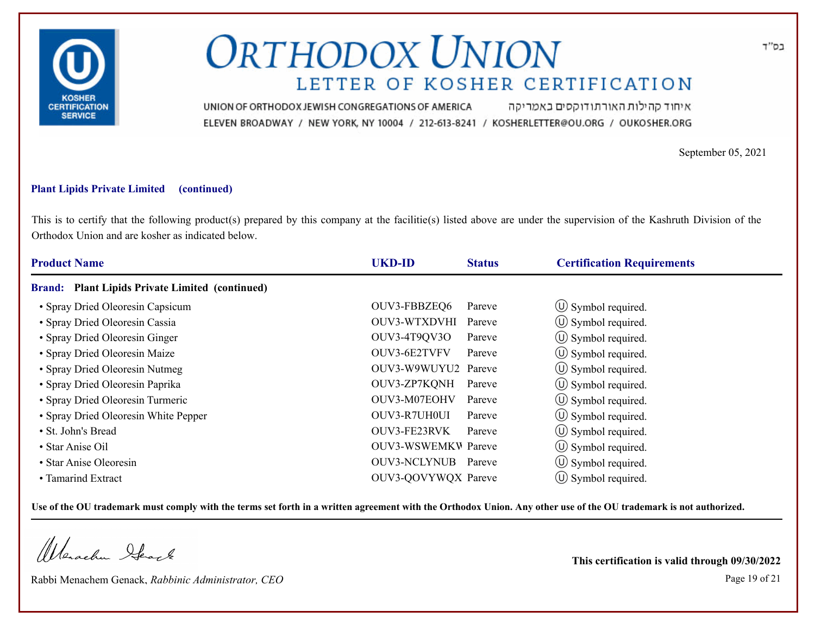

איחוד קהילות האורתודוקסים באמריקה UNION OF ORTHODOX JEWISH CONGREGATIONS OF AMERICA ELEVEN BROADWAY / NEW YORK, NY 10004 / 212-613-8241 / KOSHERLETTER@OU.ORG / OUKOSHER.ORG

September 05, 2021

### **Plant Lipids Private Limited (continued)**

This is to certify that the following product(s) prepared by this company at the facilitie(s) listed above are under the supervision of the Kashruth Division of the Orthodox Union and are kosher as indicated below.

| <b>Product Name</b>                             | <b>UKD-ID</b><br><b>Status</b> | <b>Certification Requirements</b> |  |
|-------------------------------------------------|--------------------------------|-----------------------------------|--|
| Brand: Plant Lipids Private Limited (continued) |                                |                                   |  |
| • Spray Dried Oleoresin Capsicum                | OUV3-FBBZEQ6<br>Pareve         | $\circ$ Symbol required.          |  |
| • Spray Dried Oleoresin Cassia                  | OUV3-WTXDVHI<br>Pareve         | $\circ$ Symbol required.          |  |
| • Spray Dried Oleoresin Ginger                  | OUV3-4T9QV3O<br>Pareve         | $\circled{1}$ Symbol required.    |  |
| • Spray Dried Oleoresin Maize                   | OUV3-6E2TVFV<br>Pareve         | $\circ$ Symbol required.          |  |
| • Spray Dried Oleoresin Nutmeg                  | OUV3-W9WUYU2 Pareve            | $\circ$ Symbol required.          |  |
| • Spray Dried Oleoresin Paprika                 | OUV3-ZP7KQNH<br>Pareve         | $\circ$ Symbol required.          |  |
| · Spray Dried Oleoresin Turmeric                | OUV3-M07EOHV<br>Pareve         | $\circ$ Symbol required.          |  |
| • Spray Dried Oleoresin White Pepper            | OUV3-R7UH0UI<br>Pareve         | (U) Symbol required.              |  |
| • St. John's Bread                              | OUV3-FE23RVK<br>Pareve         | $\circ$ Symbol required.          |  |
| • Star Anise Oil                                | <b>OUV3-WSWEMKW Pareve</b>     | $\circ$ Symbol required.          |  |
| • Star Anise Oleoresin                          | OUV3-NCLYNUB Pareve            | $\circled{1}$ Symbol required.    |  |
| • Tamarind Extract                              | OUV3-QOVYWQX Pareve            | $\circ$ Symbol required.          |  |

**Use of the OU trademark must comply with the terms set forth in a written agreement with the Orthodox Union. Any other use of the OU trademark is not authorized.**

Werschn Stack

Rabbi Menachem Genack, *Rabbinic Administrator, CEO* Page 19 of 21

**This certification is valid through 09/30/2022**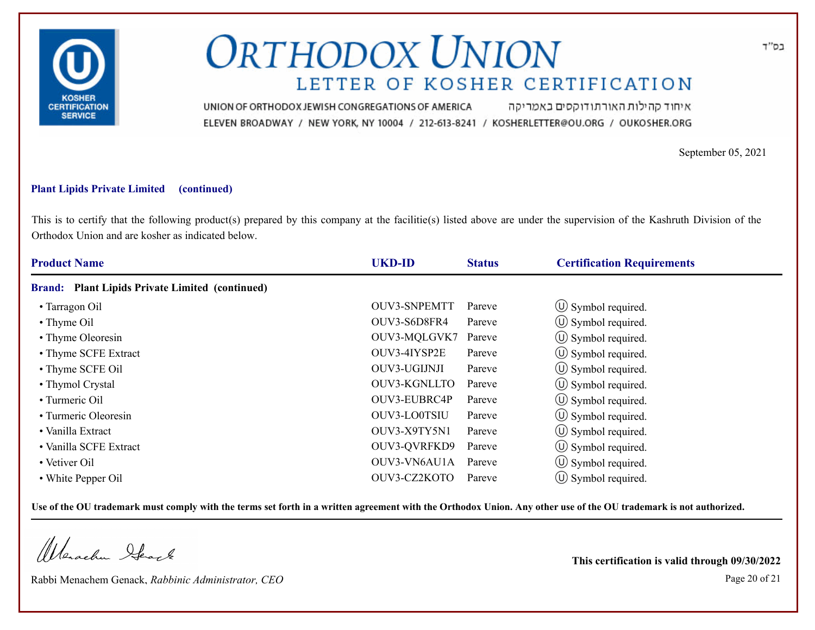

איחוד קהילות האורתודוקסים באמריקה UNION OF ORTHODOX JEWISH CONGREGATIONS OF AMERICA ELEVEN BROADWAY / NEW YORK, NY 10004 / 212-613-8241 / KOSHERLETTER@OU.ORG / OUKOSHER.ORG

September 05, 2021

### **Plant Lipids Private Limited (continued)**

This is to certify that the following product(s) prepared by this company at the facilitie(s) listed above are under the supervision of the Kashruth Division of the Orthodox Union and are kosher as indicated below.

| <b>Product Name</b>                                              | <b>UKD-ID</b>       | <b>Status</b> | <b>Certification Requirements</b> |
|------------------------------------------------------------------|---------------------|---------------|-----------------------------------|
| <b>Plant Lipids Private Limited (continued)</b><br><b>Brand:</b> |                     |               |                                   |
| • Tarragon Oil                                                   | <b>OUV3-SNPEMTT</b> | Pareve        | $\circ$ Symbol required.          |
| • Thyme Oil                                                      | OUV3-S6D8FR4        | Pareve        | $\circled{1}$ Symbol required.    |
| • Thyme Oleoresin                                                | OUV3-MQLGVK7        | Pareve        | $\circled{1}$ Symbol required.    |
| • Thyme SCFE Extract                                             | OUV3-4IYSP2E        | Pareve        | $\circ$ Symbol required.          |
| • Thyme SCFE Oil                                                 | OUV3-UGIJNJI        | Pareve        | $\circ$ Symbol required.          |
| • Thymol Crystal                                                 | OUV3-KGNLLTO        | Pareve        | (U) Symbol required.              |
| • Turmeric Oil                                                   | OUV3-EUBRC4P        | Pareve        | $\circ$ Symbol required.          |
| • Turmeric Oleoresin                                             | OUV3-LO0TSIU        | Pareve        | (U) Symbol required.              |
| • Vanilla Extract                                                | OUV3-X9TY5N1        | Pareve        | $\circ$ Symbol required.          |
| • Vanilla SCFE Extract                                           | OUV3-QVRFKD9        | Pareve        | $\circled{1}$ Symbol required.    |
| • Vetiver Oil                                                    | OUV3-VN6AU1A        | Pareve        | $\circ$ Symbol required.          |
| • White Pepper Oil                                               | OUV3-CZ2KOTO        | Pareve        | $\circ$ Symbol required.          |

**Use of the OU trademark must comply with the terms set forth in a written agreement with the Orthodox Union. Any other use of the OU trademark is not authorized.**

Werschn Stack

Rabbi Menachem Genack, *Rabbinic Administrator, CEO* Page 20 of 21

**This certification is valid through 09/30/2022**